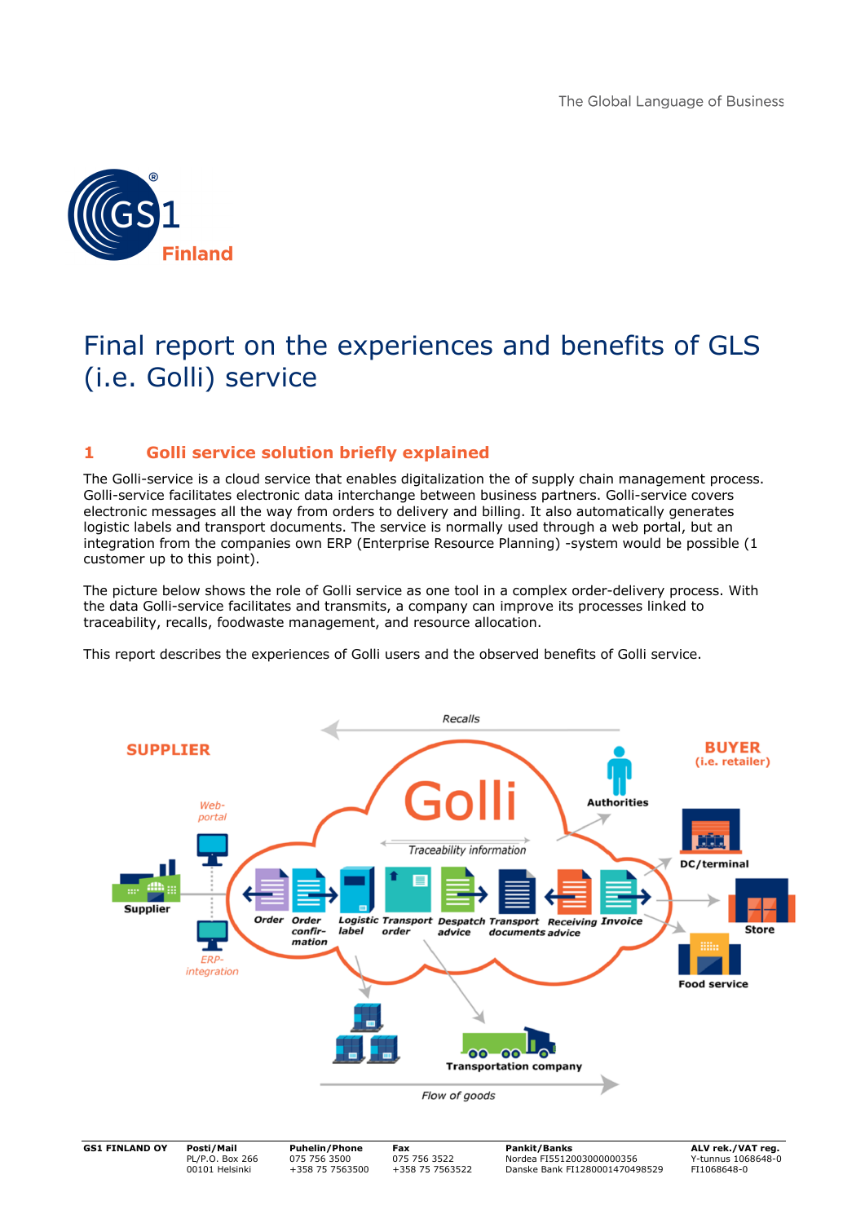

# Final report on the experiences and benefits of GLS (i.e. Golli) service

# **1 Golli service solution briefly explained**

The Golli-service is a cloud service that enables digitalization the of supply chain management process. Golli-service facilitates electronic data interchange between business partners. Golli-service covers electronic messages all the way from orders to delivery and billing. It also automatically generates logistic labels and transport documents. The service is normally used through a web portal, but an integration from the companies own ERP (Enterprise Resource Planning) -system would be possible (1 customer up to this point).

The picture below shows the role of Golli service as one tool in a complex order-delivery process. With the data Golli-service facilitates and transmits, a company can improve its processes linked to traceability, recalls, foodwaste management, and resource allocation.

This report describes the experiences of Golli users and the observed benefits of Golli service.

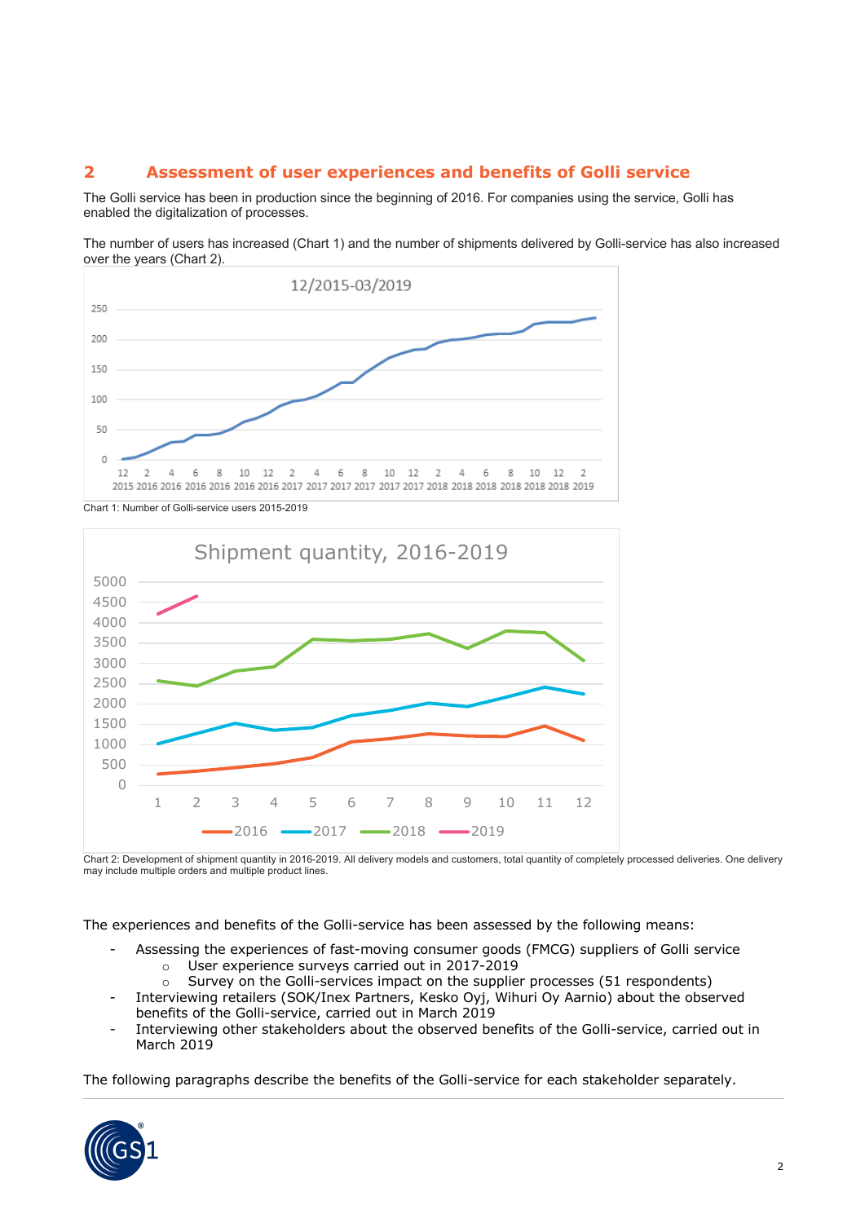# **2 Assessment of user experiences and benefits of Golli service**

The Golli service has been in production since the beginning of 2016. For companies using the service, Golli has enabled the digitalization of processes.

The number of users has increased (Chart 1) and the number of shipments delivered by Golli-service has also increased over the years (Chart 2).



Chart 1: Number of Golli-service users 2015-2019



Chart 2: Development of shipment quantity in 2016-2019. All delivery models and customers, total quantity of completely processed deliveries. One delivery may include multiple orders and multiple product lines.

The experiences and benefits of the Golli-service has been assessed by the following means:

- Assessing the experiences of fast-moving consumer goods (FMCG) suppliers of Golli service o User experience surveys carried out in 2017-2019
	- $\circ$  Survey on the Golli-services impact on the supplier processes (51 respondents)
- Interviewing retailers (SOK/Inex Partners, Kesko Oyj, Wihuri Oy Aarnio) about the observed benefits of the Golli-service, carried out in March 2019
- Interviewing other stakeholders about the observed benefits of the Golli-service, carried out in March 2019

The following paragraphs describe the benefits of the Golli-service for each stakeholder separately.

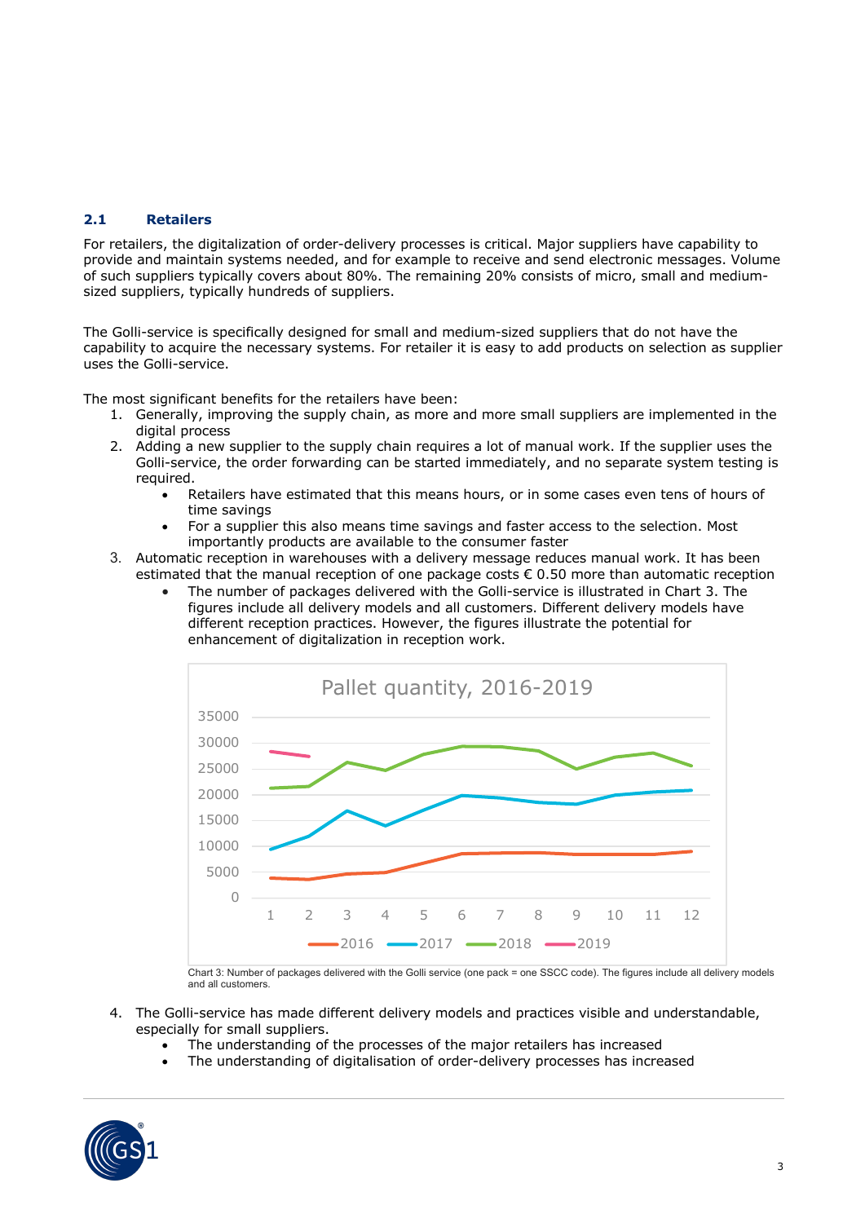## **2.1 Retailers**

For retailers, the digitalization of order-delivery processes is critical. Major suppliers have capability to provide and maintain systems needed, and for example to receive and send electronic messages. Volume of such suppliers typically covers about 80%. The remaining 20% consists of micro, small and mediumsized suppliers, typically hundreds of suppliers.

The Golli-service is specifically designed for small and medium-sized suppliers that do not have the capability to acquire the necessary systems. For retailer it is easy to add products on selection as supplier uses the Golli-service.

The most significant benefits for the retailers have been:

- 1. Generally, improving the supply chain, as more and more small suppliers are implemented in the digital process
- 2. Adding a new supplier to the supply chain requires a lot of manual work. If the supplier uses the Golli-service, the order forwarding can be started immediately, and no separate system testing is required.
	- Retailers have estimated that this means hours, or in some cases even tens of hours of time savings
	- For a supplier this also means time savings and faster access to the selection. Most importantly products are available to the consumer faster
- 3. Automatic reception in warehouses with a delivery message reduces manual work. It has been estimated that the manual reception of one package costs € 0.50 more than automatic reception
	- The number of packages delivered with the Golli-service is illustrated in Chart 3. The figures include all delivery models and all customers. Different delivery models have different reception practices. However, the figures illustrate the potential for enhancement of digitalization in reception work.



Chart 3: Number of packages delivered with the Golli service (one pack = one SSCC code). The figures include all delivery models and all customers.

- 4. The Golli-service has made different delivery models and practices visible and understandable, especially for small suppliers.
	- The understanding of the processes of the major retailers has increased
	- The understanding of digitalisation of order-delivery processes has increased

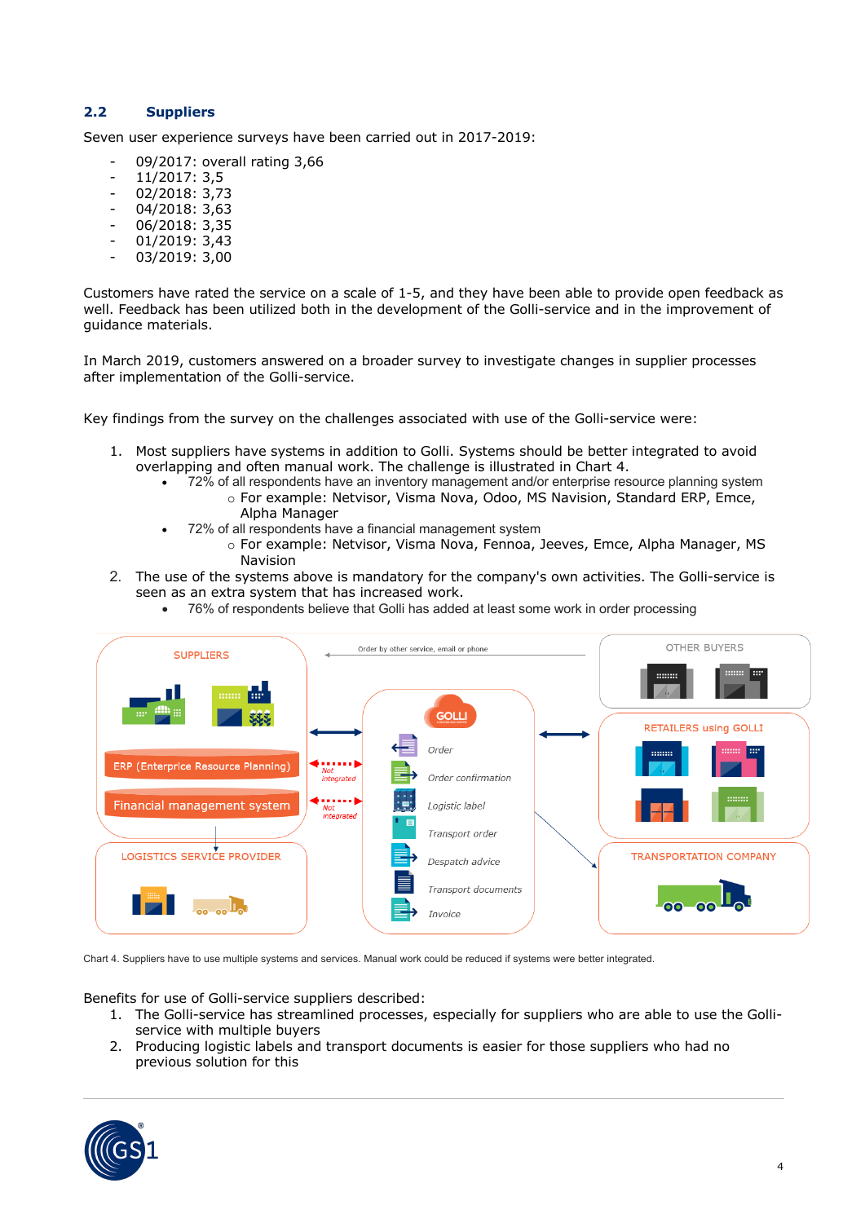## **2.2 Suppliers**

Seven user experience surveys have been carried out in 2017-2019:

- 09/2017: overall rating 3,66
- 11/2017: 3,5
- 02/2018: 3,73
- 04/2018: 3,63
- 06/2018: 3,35
- 01/2019: 3,43
- 03/2019: 3,00

Customers have rated the service on a scale of 1-5, and they have been able to provide open feedback as well. Feedback has been utilized both in the development of the Golli-service and in the improvement of guidance materials.

In March 2019, customers answered on a broader survey to investigate changes in supplier processes after implementation of the Golli-service.

Key findings from the survey on the challenges associated with use of the Golli-service were:

- 1. Most suppliers have systems in addition to Golli. Systems should be better integrated to avoid overlapping and often manual work. The challenge is illustrated in Chart 4.
	- 72% of all respondents have an inventory management and/or enterprise resource planning system o For example: Netvisor, Visma Nova, Odoo, MS Navision, Standard ERP, Emce, Alpha Manager
	- 72% of all respondents have a financial management system
		- o For example: Netvisor, Visma Nova, Fennoa, Jeeves, Emce, Alpha Manager, MS Navision
- 2. The use of the systems above is mandatory for the company's own activities. The Golli-service is seen as an extra system that has increased work.
	- 76% of respondents believe that Golli has added at least some work in order processing



Chart 4. Suppliers have to use multiple systems and services. Manual work could be reduced if systems were better integrated.

Benefits for use of Golli-service suppliers described:

- 1. The Golli-service has streamlined processes, especially for suppliers who are able to use the Golliservice with multiple buyers
- 2. Producing logistic labels and transport documents is easier for those suppliers who had no previous solution for this

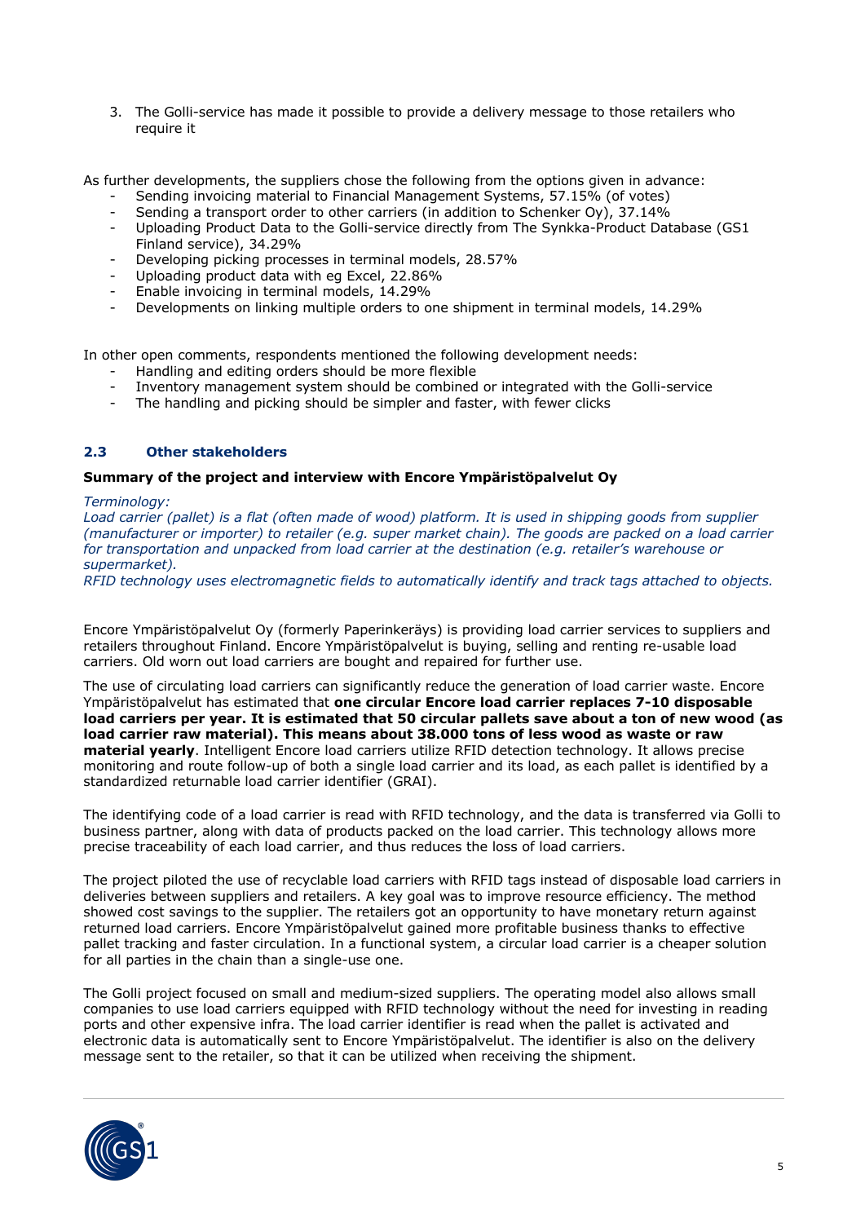3. The Golli-service has made it possible to provide a delivery message to those retailers who require it

As further developments, the suppliers chose the following from the options given in advance:

- Sending invoicing material to Financial Management Systems, 57.15% (of votes)
- Sending a transport order to other carriers (in addition to Schenker Oy), 37.14%
- Uploading Product Data to the Golli-service directly from The Synkka-Product Database (GS1 Finland service), 34.29%
- Developing picking processes in terminal models, 28.57%
- Uploading product data with eg Excel, 22.86%
- Enable invoicing in terminal models, 14.29%
- Developments on linking multiple orders to one shipment in terminal models, 14.29%

In other open comments, respondents mentioned the following development needs:

- Handling and editing orders should be more flexible
- Inventory management system should be combined or integrated with the Golli-service
- The handling and picking should be simpler and faster, with fewer clicks

### **2.3 Other stakeholders**

#### **Summary of the project and interview with Encore Ympäristöpalvelut Oy**

#### *Terminology:*

*Load carrier (pallet) is a flat (often made of wood) platform. It is used in shipping goods from supplier (manufacturer or importer) to retailer (e.g. super market chain). The goods are packed on a load carrier for transportation and unpacked from load carrier at the destination (e.g. retailer's warehouse or supermarket).* 

*RFID technology uses electromagnetic fields to automatically identify and track tags attached to objects.*

Encore Ympäristöpalvelut Oy (formerly Paperinkeräys) is providing load carrier services to suppliers and retailers throughout Finland. Encore Ympäristöpalvelut is buying, selling and renting re-usable load carriers. Old worn out load carriers are bought and repaired for further use.

The use of circulating load carriers can significantly reduce the generation of load carrier waste. Encore Ympäristöpalvelut has estimated that **one circular Encore load carrier replaces 7-10 disposable load carriers per year. It is estimated that 50 circular pallets save about a ton of new wood (as load carrier raw material). This means about 38.000 tons of less wood as waste or raw material yearly**. Intelligent Encore load carriers utilize RFID detection technology. It allows precise monitoring and route follow-up of both a single load carrier and its load, as each pallet is identified by a standardized returnable load carrier identifier (GRAI).

The identifying code of a load carrier is read with RFID technology, and the data is transferred via Golli to business partner, along with data of products packed on the load carrier. This technology allows more precise traceability of each load carrier, and thus reduces the loss of load carriers.

The project piloted the use of recyclable load carriers with RFID tags instead of disposable load carriers in deliveries between suppliers and retailers. A key goal was to improve resource efficiency. The method showed cost savings to the supplier. The retailers got an opportunity to have monetary return against returned load carriers. Encore Ympäristöpalvelut gained more profitable business thanks to effective pallet tracking and faster circulation. In a functional system, a circular load carrier is a cheaper solution for all parties in the chain than a single-use one.

The Golli project focused on small and medium-sized suppliers. The operating model also allows small companies to use load carriers equipped with RFID technology without the need for investing in reading ports and other expensive infra. The load carrier identifier is read when the pallet is activated and electronic data is automatically sent to Encore Ympäristöpalvelut. The identifier is also on the delivery message sent to the retailer, so that it can be utilized when receiving the shipment.

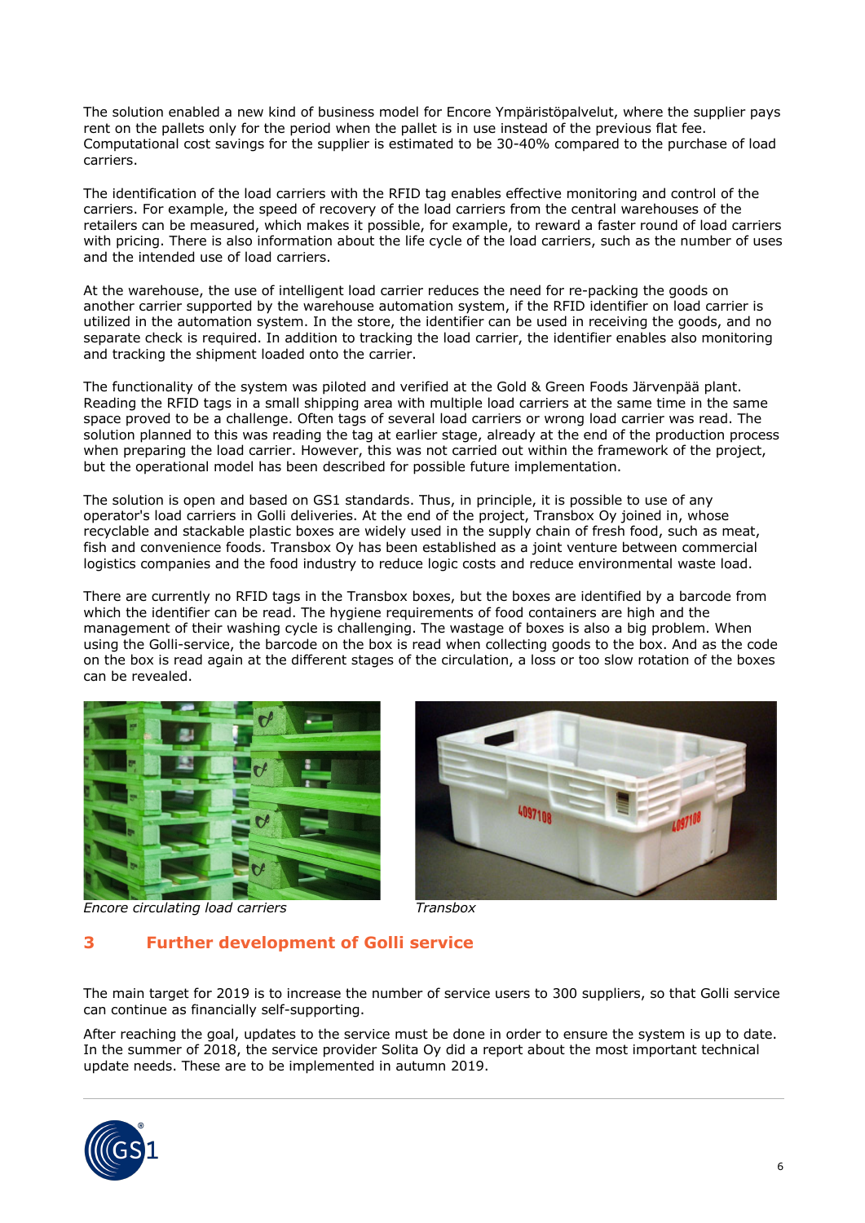The solution enabled a new kind of business model for Encore Ympäristöpalvelut, where the supplier pays rent on the pallets only for the period when the pallet is in use instead of the previous flat fee. Computational cost savings for the supplier is estimated to be 30-40% compared to the purchase of load carriers.

The identification of the load carriers with the RFID tag enables effective monitoring and control of the carriers. For example, the speed of recovery of the load carriers from the central warehouses of the retailers can be measured, which makes it possible, for example, to reward a faster round of load carriers with pricing. There is also information about the life cycle of the load carriers, such as the number of uses and the intended use of load carriers.

At the warehouse, the use of intelligent load carrier reduces the need for re-packing the goods on another carrier supported by the warehouse automation system, if the RFID identifier on load carrier is utilized in the automation system. In the store, the identifier can be used in receiving the goods, and no separate check is required. In addition to tracking the load carrier, the identifier enables also monitoring and tracking the shipment loaded onto the carrier.

The functionality of the system was piloted and verified at the Gold & Green Foods Järvenpää plant. Reading the RFID tags in a small shipping area with multiple load carriers at the same time in the same space proved to be a challenge. Often tags of several load carriers or wrong load carrier was read. The solution planned to this was reading the tag at earlier stage, already at the end of the production process when preparing the load carrier. However, this was not carried out within the framework of the project, but the operational model has been described for possible future implementation.

The solution is open and based on GS1 standards. Thus, in principle, it is possible to use of any operator's load carriers in Golli deliveries. At the end of the project, Transbox Oy joined in, whose recyclable and stackable plastic boxes are widely used in the supply chain of fresh food, such as meat, fish and convenience foods. Transbox Oy has been established as a joint venture between commercial logistics companies and the food industry to reduce logic costs and reduce environmental waste load.

There are currently no RFID tags in the Transbox boxes, but the boxes are identified by a barcode from which the identifier can be read. The hygiene requirements of food containers are high and the management of their washing cycle is challenging. The wastage of boxes is also a big problem. When using the Golli-service, the barcode on the box is read when collecting goods to the box. And as the code on the box is read again at the different stages of the circulation, a loss or too slow rotation of the boxes can be revealed.



*Encore circulating load carriers Transbox*



# **3 Further development of Golli service**

The main target for 2019 is to increase the number of service users to 300 suppliers, so that Golli service can continue as financially self-supporting.

After reaching the goal, updates to the service must be done in order to ensure the system is up to date. In the summer of 2018, the service provider Solita Oy did a report about the most important technical update needs. These are to be implemented in autumn 2019.

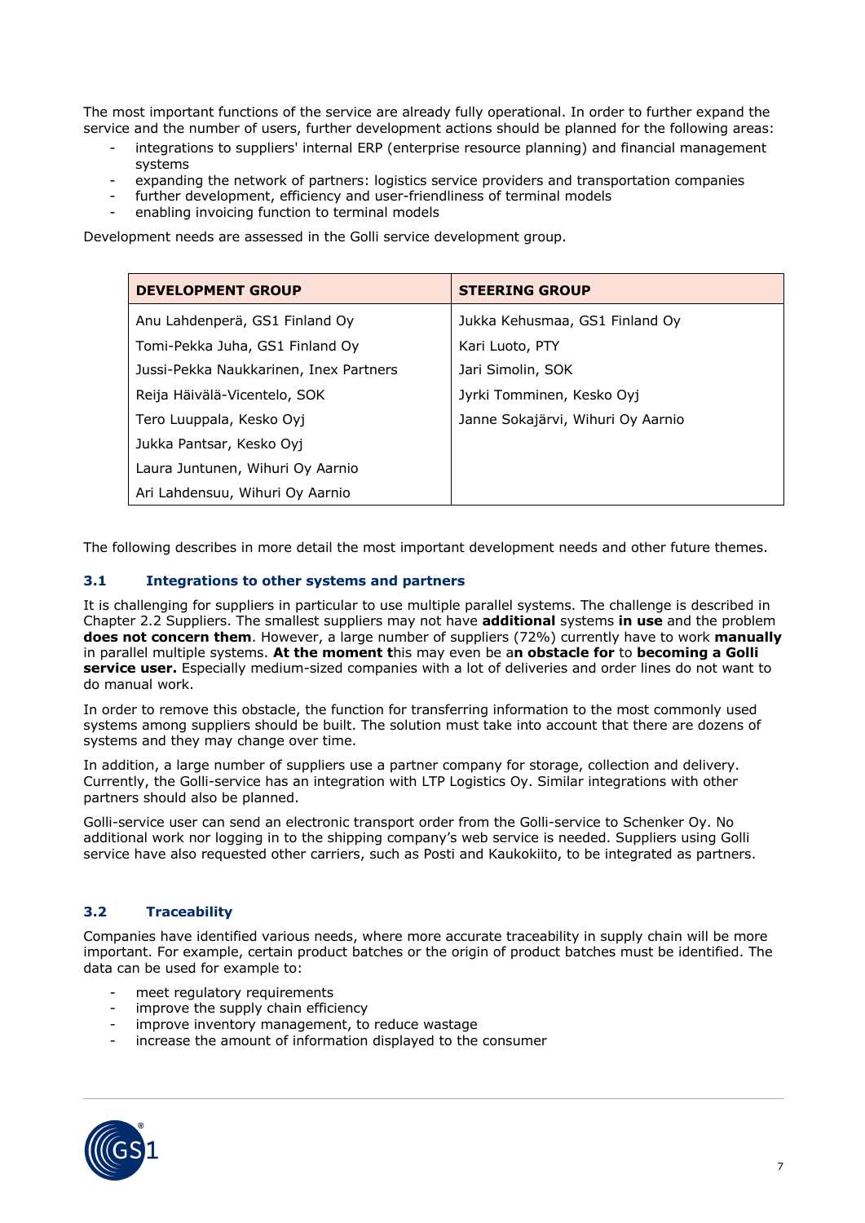The most important functions of the service are already fully operational. In order to further expand the service and the number of users, further development actions should be planned for the following areas:

- integrations to suppliers' internal ERP (enterprise resource planning) and financial management systems
- expanding the network of partners: logistics service providers and transportation companies
- further development, efficiency and user-friendliness of terminal models
- enabling invoicing function to terminal models

Development needs are assessed in the Golli service development group.

| <b>DEVELOPMENT GROUP</b>               | <b>STEERING GROUP</b>             |
|----------------------------------------|-----------------------------------|
| Anu Lahdenperä, GS1 Finland Oy         | Jukka Kehusmaa, GS1 Finland Oy    |
| Tomi-Pekka Juha, GS1 Finland Oy        | Kari Luoto, PTY                   |
| Jussi-Pekka Naukkarinen, Inex Partners | Jari Simolin, SOK                 |
| Reija Häivälä-Vicentelo, SOK           | Jyrki Tomminen, Kesko Oyj         |
| Tero Luuppala, Kesko Oyj               | Janne Sokajärvi, Wihuri Oy Aarnio |
| Jukka Pantsar, Kesko Oyj               |                                   |
| Laura Juntunen, Wihuri Oy Aarnio       |                                   |
| Ari Lahdensuu, Wihuri Oy Aarnio        |                                   |

The following describes in more detail the most important development needs and other future themes.

#### **3.1 Integrations to other systems and partners**

It is challenging for suppliers in particular to use multiple parallel systems. The challenge is described in Chapter 2.2 Suppliers. The smallest suppliers may not have **additional** systems **in use** and the problem **does not concern them**. However, a large number of suppliers (72%) currently have to work **manually**  in parallel multiple systems. **At the moment t**his may even be a**n obstacle for** to **becoming a Golli service user.** Especially medium-sized companies with a lot of deliveries and order lines do not want to do manual work.

In order to remove this obstacle, the function for transferring information to the most commonly used systems among suppliers should be built. The solution must take into account that there are dozens of systems and they may change over time.

In addition, a large number of suppliers use a partner company for storage, collection and delivery. Currently, the Golli-service has an integration with LTP Logistics Oy. Similar integrations with other partners should also be planned.

Golli-service user can send an electronic transport order from the Golli-service to Schenker Oy. No additional work nor logging in to the shipping company's web service is needed. Suppliers using Golli service have also requested other carriers, such as Posti and Kaukokiito, to be integrated as partners.

## **3.2 Traceability**

Companies have identified various needs, where more accurate traceability in supply chain will be more important. For example, certain product batches or the origin of product batches must be identified. The data can be used for example to:

- meet regulatory requirements
- improve the supply chain efficiency
- improve inventory management, to reduce wastage
- increase the amount of information displayed to the consumer